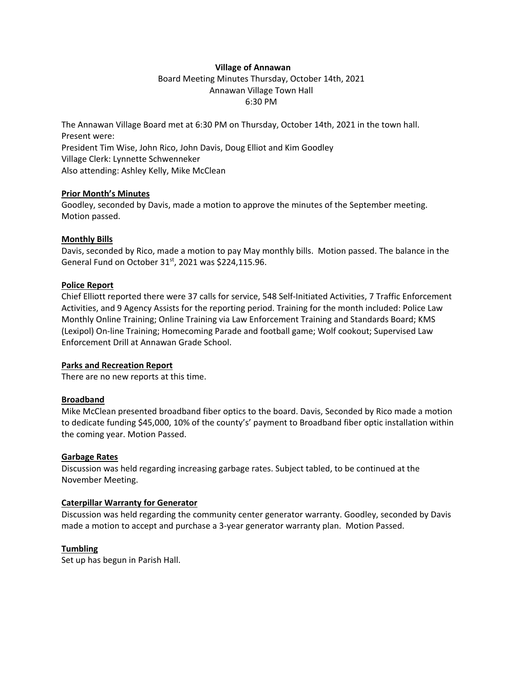### **Village of Annawan**

Board Meeting Minutes Thursday, October 14th, 2021 Annawan Village Town Hall 6:30 PM

The Annawan Village Board met at 6:30 PM on Thursday, October 14th, 2021 in the town hall. Present were: President Tim Wise, John Rico, John Davis, Doug Elliot and Kim Goodley Village Clerk: Lynnette Schwenneker Also attending: Ashley Kelly, Mike McClean

#### **Prior Month's Minutes**

Goodley, seconded by Davis, made a motion to approve the minutes of the September meeting. Motion passed.

## **Monthly Bills**

Davis, seconded by Rico, made a motion to pay May monthly bills. Motion passed. The balance in the General Fund on October 31<sup>st</sup>, 2021 was \$224,115.96.

### **Police Report**

Chief Elliott reported there were 37 calls for service, 548 Self-Initiated Activities, 7 Traffic Enforcement Activities, and 9 Agency Assists for the reporting period. Training for the month included: Police Law Monthly Online Training; Online Training via Law Enforcement Training and Standards Board; KMS (Lexipol) On-line Training; Homecoming Parade and football game; Wolf cookout; Supervised Law Enforcement Drill at Annawan Grade School.

#### **Parks and Recreation Report**

There are no new reports at this time.

## **Broadband**

Mike McClean presented broadband fiber optics to the board. Davis, Seconded by Rico made a motion to dedicate funding \$45,000, 10% of the county's' payment to Broadband fiber optic installation within the coming year. Motion Passed.

#### **Garbage Rates**

Discussion was held regarding increasing garbage rates. Subject tabled, to be continued at the November Meeting.

# **Caterpillar Warranty for Generator**

Discussion was held regarding the community center generator warranty. Goodley, seconded by Davis made a motion to accept and purchase a 3-year generator warranty plan. Motion Passed.

## **Tumbling**

Set up has begun in Parish Hall.